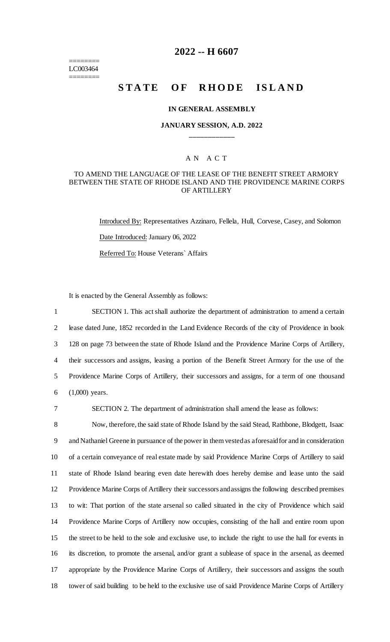======== LC003464 ========

# **2022 -- H 6607**

# **STATE OF RHODE ISLAND**

#### **IN GENERAL ASSEMBLY**

## **JANUARY SESSION, A.D. 2022 \_\_\_\_\_\_\_\_\_\_\_\_**

## A N A C T

#### TO AMEND THE LANGUAGE OF THE LEASE OF THE BENEFIT STREET ARMORY BETWEEN THE STATE OF RHODE ISLAND AND THE PROVIDENCE MARINE CORPS OF ARTILLERY

Introduced By: Representatives Azzinaro, Fellela, Hull, Corvese, Casey, and Solomon Date Introduced: January 06, 2022 Referred To: House Veterans` Affairs

It is enacted by the General Assembly as follows:

 SECTION 1. This act shall authorize the department of administration to amend a certain lease dated June, 1852 recorded in the Land Evidence Records of the city of Providence in book 128 on page 73 between the state of Rhode Island and the Providence Marine Corps of Artillery, their successors and assigns, leasing a portion of the Benefit Street Armory for the use of the Providence Marine Corps of Artillery, their successors and assigns, for a term of one thousand (1,000) years.

7 SECTION 2. The department of administration shall amend the lease as follows:

 Now, therefore, the said state of Rhode Island by the said Stead, Rathbone, Blodgett, Isaac and Nathaniel Greene in pursuance of the power in them vested as aforesaid for and in consideration of a certain conveyance of real estate made by said Providence Marine Corps of Artillery to said state of Rhode Island bearing even date herewith does hereby demise and lease unto the said Providence Marine Corps of Artillery their successors and assigns the following described premises to wit: That portion of the state arsenal so called situated in the city of Providence which said Providence Marine Corps of Artillery now occupies, consisting of the hall and entire room upon the street to be held to the sole and exclusive use, to include the right to use the hall for events in its discretion, to promote the arsenal, and/or grant a sublease of space in the arsenal, as deemed appropriate by the Providence Marine Corps of Artillery, their successors and assigns the south tower of said building to be held to the exclusive use of said Providence Marine Corps of Artillery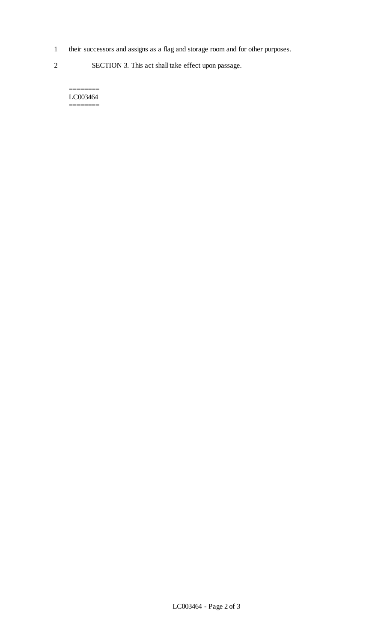- 1 their successors and assigns as a flag and storage room and for other purposes.
- 2 SECTION 3. This act shall take effect upon passage.

======== LC003464 ========